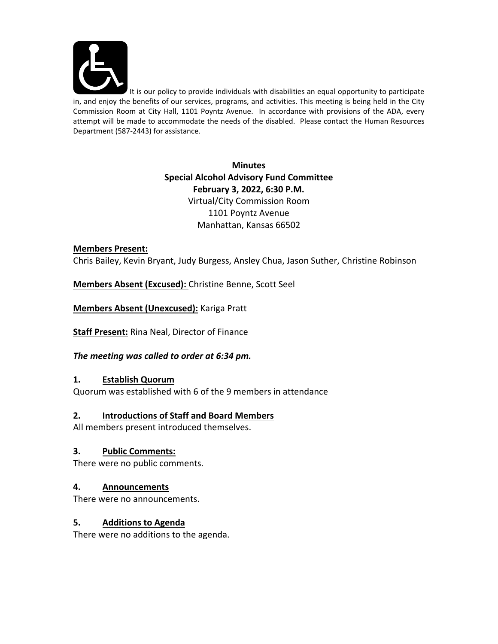

It is our policy to provide individuals with disabilities an equal opportunity to participate in, and enjoy the benefits of our services, programs, and activities. This meeting is being held in the City Commission Room at City Hall, 1101 Poyntz Avenue. In accordance with provisions of the ADA, every attempt will be made to accommodate the needs of the disabled. Please contact the Human Resources Department (587‐2443) for assistance.

> **Minutes Special Alcohol Advisory Fund Committee February 3, 2022, 6:30 P.M.** Virtual/City Commission Room 1101 Poyntz Avenue Manhattan, Kansas 66502

### **Members Present:**

Chris Bailey, Kevin Bryant, Judy Burgess, Ansley Chua, Jason Suther, Christine Robinson

**Members Absent (Excused):** Christine Benne, Scott Seel

**Members Absent (Unexcused):** Kariga Pratt

**Staff Present:** Rina Neal, Director of Finance

### *The meeting was called to order at 6:34 pm.*

### **1. Establish Quorum**

Quorum was established with 6 of the 9 members in attendance

## **2. Introductions of Staff and Board Members**

All members present introduced themselves.

### **3. Public Comments:**

There were no public comments.

## **4. Announcements**

There were no announcements.

### **5. Additions to Agenda**

There were no additions to the agenda.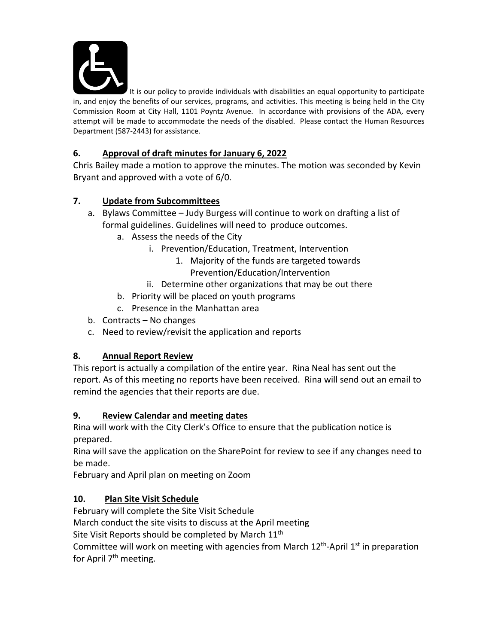

It is our policy to provide individuals with disabilities an equal opportunity to participate in, and enjoy the benefits of our services, programs, and activities. This meeting is being held in the City Commission Room at City Hall, 1101 Poyntz Avenue. In accordance with provisions of the ADA, every attempt will be made to accommodate the needs of the disabled. Please contact the Human Resources Department (587‐2443) for assistance.

# **6. Approval of draft minutes for January 6, 2022**

Chris Bailey made a motion to approve the minutes. The motion was seconded by Kevin Bryant and approved with a vote of 6/0.

## **7. Update from Subcommittees**

- a. Bylaws Committee Judy Burgess will continue to work on drafting a list of formal guidelines. Guidelines will need to produce outcomes.
	- a. Assess the needs of the City
		- i. Prevention/Education, Treatment, Intervention
			- 1. Majority of the funds are targeted towards Prevention/Education/Intervention
		- ii. Determine other organizations that may be out there
	- b. Priority will be placed on youth programs
	- c. Presence in the Manhattan area
- b. Contracts No changes
- c. Need to review/revisit the application and reports

## **8. Annual Report Review**

This report is actually a compilation of the entire year. Rina Neal has sent out the report. As of this meeting no reports have been received. Rina will send out an email to remind the agencies that their reports are due.

# **9. Review Calendar and meeting dates**

Rina will work with the City Clerk's Office to ensure that the publication notice is prepared.

Rina will save the application on the SharePoint for review to see if any changes need to be made.

February and April plan on meeting on Zoom

# **10. Plan Site Visit Schedule**

February will complete the Site Visit Schedule

March conduct the site visits to discuss at the April meeting

Site Visit Reports should be completed by March 11<sup>th</sup>

Committee will work on meeting with agencies from March  $12<sup>th</sup>$ -April  $1<sup>st</sup>$  in preparation for April 7<sup>th</sup> meeting.